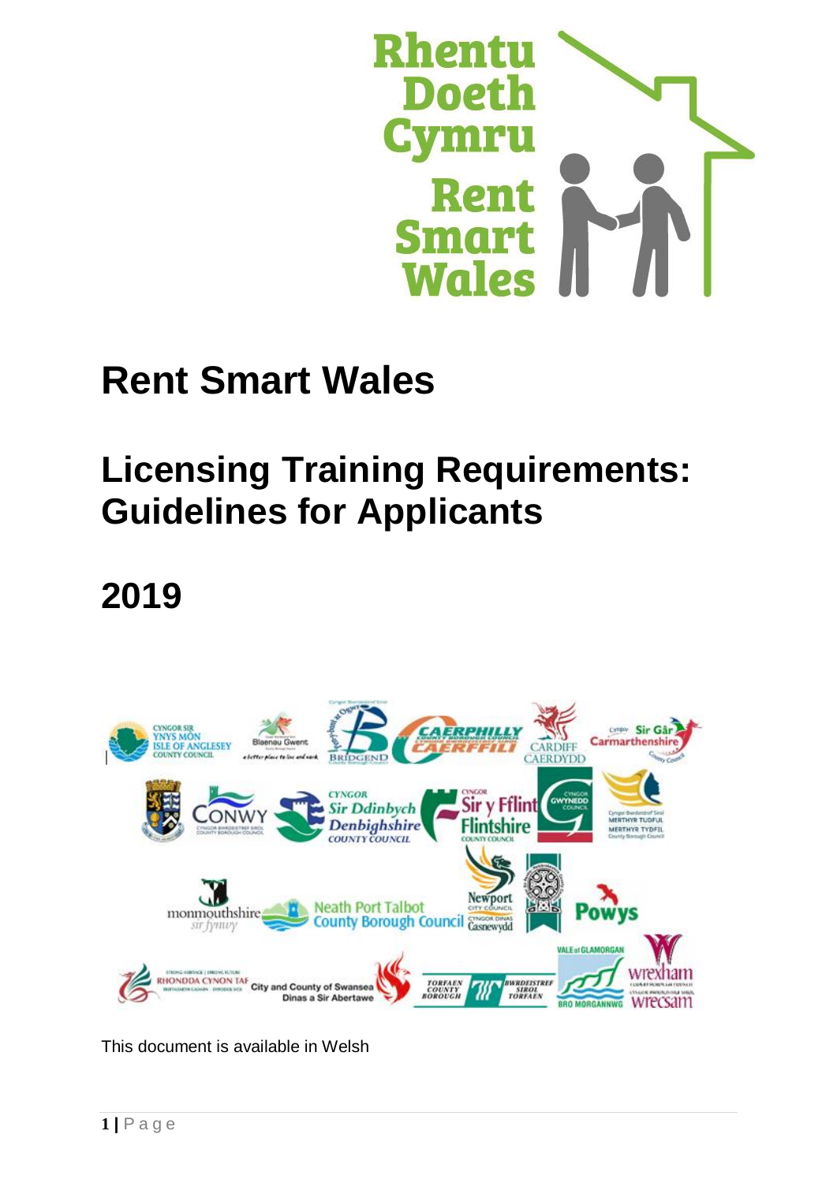

# **Rent Smart Wales**

# **Licensing Training Requirements: Guidelines for Applicants**

# **2019**



This document is available in Welsh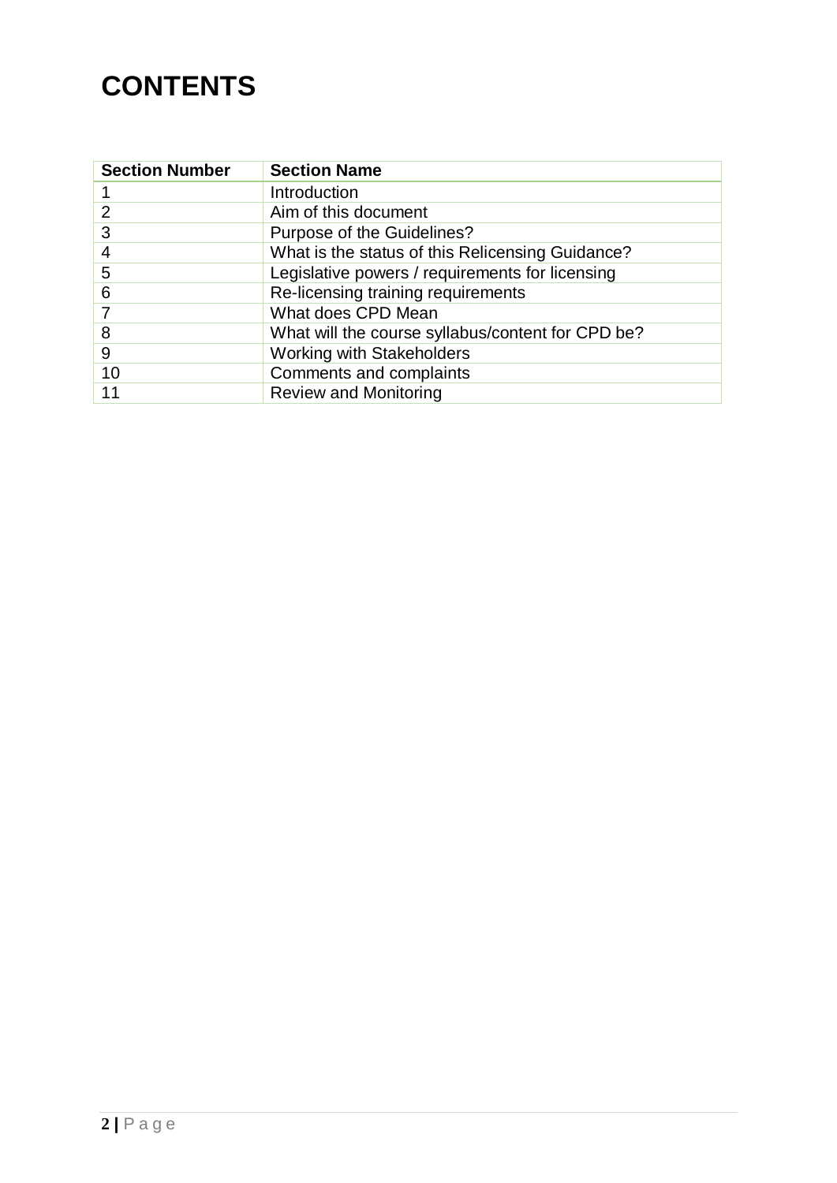## **CONTENTS**

| <b>Section Number</b> | <b>Section Name</b>                               |
|-----------------------|---------------------------------------------------|
|                       | Introduction                                      |
| 2                     | Aim of this document                              |
| 3                     | Purpose of the Guidelines?                        |
| 4                     | What is the status of this Relicensing Guidance?  |
| 5                     | Legislative powers / requirements for licensing   |
| 6                     | Re-licensing training requirements                |
|                       | What does CPD Mean                                |
| 8                     | What will the course syllabus/content for CPD be? |
| 9                     | <b>Working with Stakeholders</b>                  |
| 10                    | Comments and complaints                           |
| 11                    | <b>Review and Monitoring</b>                      |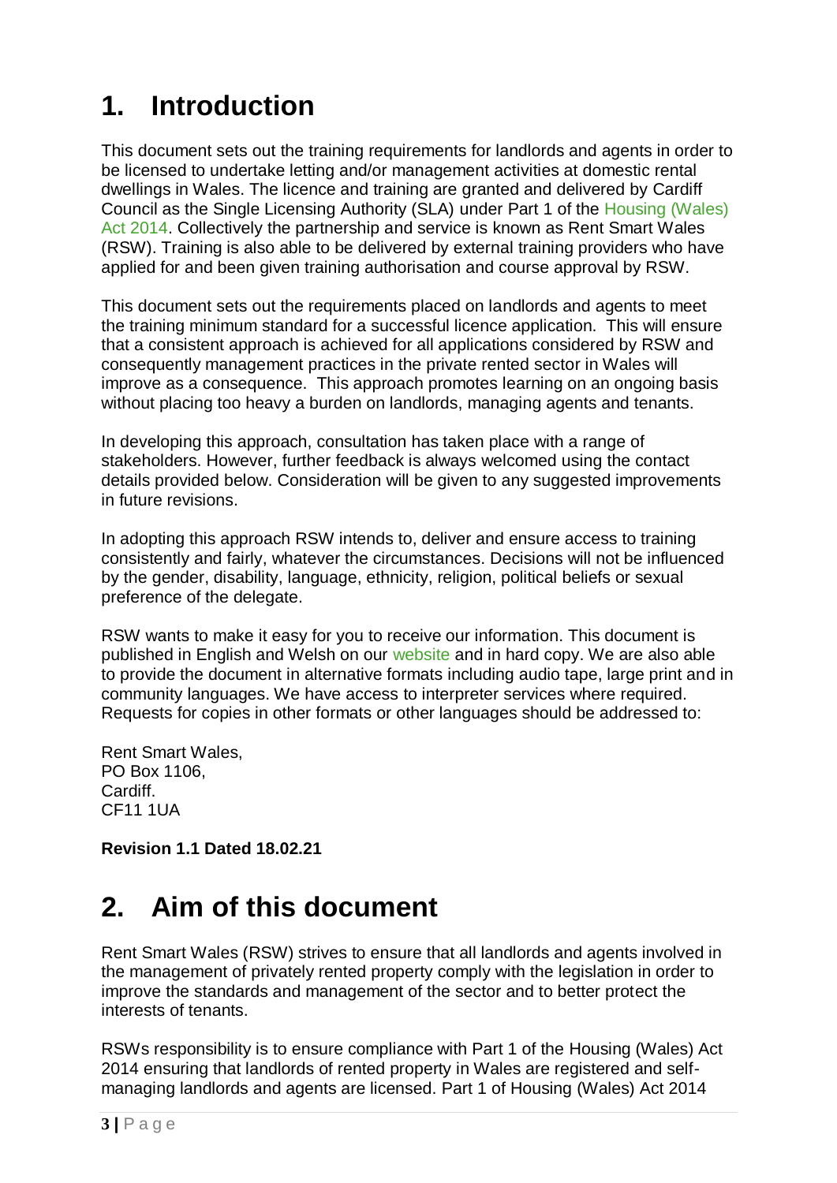# **1. Introduction**

This document sets out the training requirements for landlords and agents in order to be licensed to undertake letting and/or management activities at domestic rental dwellings in Wales. The licence and training are granted and delivered by Cardiff Council as the Single Licensing Authority (SLA) under Part 1 of the [Housing \(Wales\)](http://www.legislation.gov.uk/anaw/2014/7/contents/enacted)  [Act 2014.](http://www.legislation.gov.uk/anaw/2014/7/contents/enacted) Collectively the partnership and service is known as Rent Smart Wales (RSW). Training is also able to be delivered by external training providers who have applied for and been given training authorisation and course approval by RSW.

This document sets out the requirements placed on landlords and agents to meet the training minimum standard for a successful licence application. This will ensure that a consistent approach is achieved for all applications considered by RSW and consequently management practices in the private rented sector in Wales will improve as a consequence. This approach promotes learning on an ongoing basis without placing too heavy a burden on landlords, managing agents and tenants.

In developing this approach, consultation has taken place with a range of stakeholders. However, further feedback is always welcomed using the contact details provided below. Consideration will be given to any suggested improvements in future revisions.

In adopting this approach RSW intends to, deliver and ensure access to training consistently and fairly, whatever the circumstances. Decisions will not be influenced by the gender, disability, language, ethnicity, religion, political beliefs or sexual preference of the delegate.

RSW wants to make it easy for you to receive our information. This document is published in English and Welsh on our [website](https://www.rentsmart.gov.wales/en/resource-library/) and in hard copy. We are also able to provide the document in alternative formats including audio tape, large print and in community languages. We have access to interpreter services where required. Requests for copies in other formats or other languages should be addressed to:

Rent Smart Wales, PO Box 1106, Cardiff. CF11 1UA

**Revision 1.1 Dated 18.02.21**

## **2. Aim of this document**

Rent Smart Wales (RSW) strives to ensure that all landlords and agents involved in the management of privately rented property comply with the legislation in order to improve the standards and management of the sector and to better protect the interests of tenants.

RSWs responsibility is to ensure compliance with Part 1 of the Housing (Wales) Act 2014 ensuring that landlords of rented property in Wales are registered and selfmanaging landlords and agents are licensed. Part 1 of Housing (Wales) Act 2014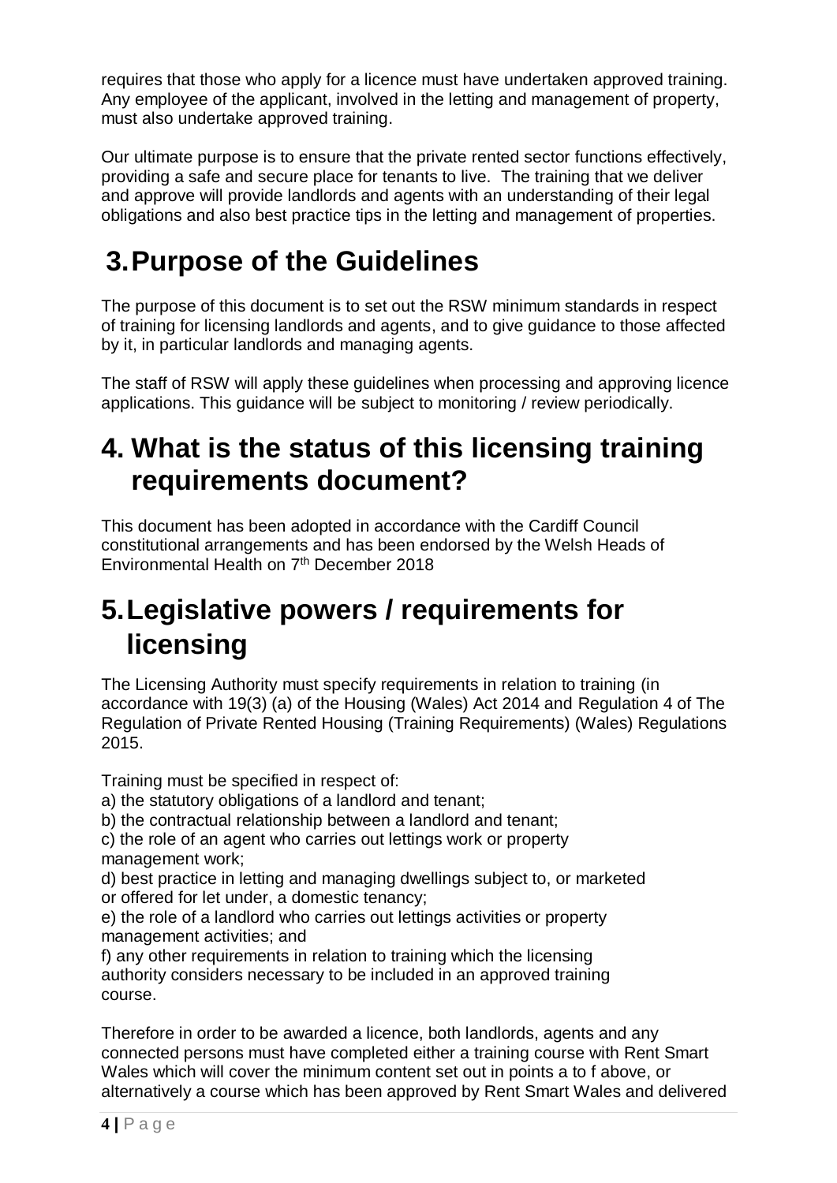requires that those who apply for a licence must have undertaken approved training. Any employee of the applicant, involved in the letting and management of property, must also undertake approved training.

Our ultimate purpose is to ensure that the private rented sector functions effectively, providing a safe and secure place for tenants to live. The training that we deliver and approve will provide landlords and agents with an understanding of their legal obligations and also best practice tips in the letting and management of properties.

## **3.Purpose of the Guidelines**

The purpose of this document is to set out the RSW minimum standards in respect of training for licensing landlords and agents, and to give guidance to those affected by it, in particular landlords and managing agents.

The staff of RSW will apply these guidelines when processing and approving licence applications. This guidance will be subject to monitoring / review periodically.

#### **4. What is the status of this licensing training requirements document?**

This document has been adopted in accordance with the Cardiff Council constitutional arrangements and has been endorsed by the Welsh Heads of Environmental Health on 7<sup>th</sup> December 2018

## **5.Legislative powers / requirements for licensing**

The Licensing Authority must specify requirements in relation to training (in accordance with 19(3) (a) of the Housing (Wales) Act 2014 and Regulation 4 of The Regulation of Private Rented Housing (Training Requirements) (Wales) Regulations 2015.

Training must be specified in respect of:

a) the statutory obligations of a landlord and tenant;

b) the contractual relationship between a landlord and tenant;

c) the role of an agent who carries out lettings work or property management work;

d) best practice in letting and managing dwellings subject to, or marketed or offered for let under, a domestic tenancy;

e) the role of a landlord who carries out lettings activities or property management activities; and

f) any other requirements in relation to training which the licensing authority considers necessary to be included in an approved training course.

Therefore in order to be awarded a licence, both landlords, agents and any connected persons must have completed either a training course with Rent Smart Wales which will cover the minimum content set out in points a to f above, or alternatively a course which has been approved by Rent Smart Wales and delivered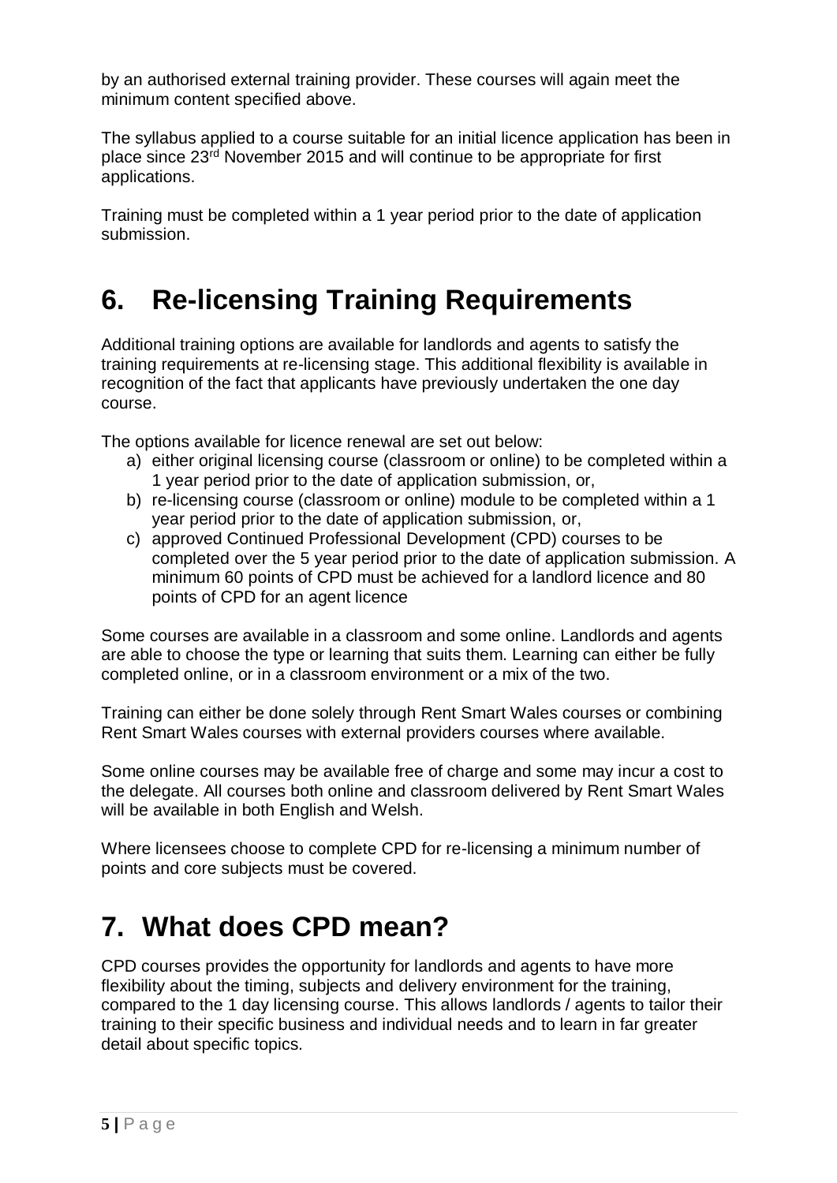by an authorised external training provider. These courses will again meet the minimum content specified above.

The syllabus applied to a course suitable for an initial licence application has been in place since 23rd November 2015 and will continue to be appropriate for first applications.

Training must be completed within a 1 year period prior to the date of application submission.

# **6. Re-licensing Training Requirements**

Additional training options are available for landlords and agents to satisfy the training requirements at re-licensing stage. This additional flexibility is available in recognition of the fact that applicants have previously undertaken the one day course.

The options available for licence renewal are set out below:

- a) either original licensing course (classroom or online) to be completed within a 1 year period prior to the date of application submission, or,
- b) re-licensing course (classroom or online) module to be completed within a 1 year period prior to the date of application submission, or,
- c) approved Continued Professional Development (CPD) courses to be completed over the 5 year period prior to the date of application submission. A minimum 60 points of CPD must be achieved for a landlord licence and 80 points of CPD for an agent licence

Some courses are available in a classroom and some online. Landlords and agents are able to choose the type or learning that suits them. Learning can either be fully completed online, or in a classroom environment or a mix of the two.

Training can either be done solely through Rent Smart Wales courses or combining Rent Smart Wales courses with external providers courses where available.

Some online courses may be available free of charge and some may incur a cost to the delegate. All courses both online and classroom delivered by Rent Smart Wales will be available in both English and Welsh.

Where licensees choose to complete CPD for re-licensing a minimum number of points and core subjects must be covered.

## **7. What does CPD mean?**

CPD courses provides the opportunity for landlords and agents to have more flexibility about the timing, subjects and delivery environment for the training, compared to the 1 day licensing course. This allows landlords / agents to tailor their training to their specific business and individual needs and to learn in far greater detail about specific topics.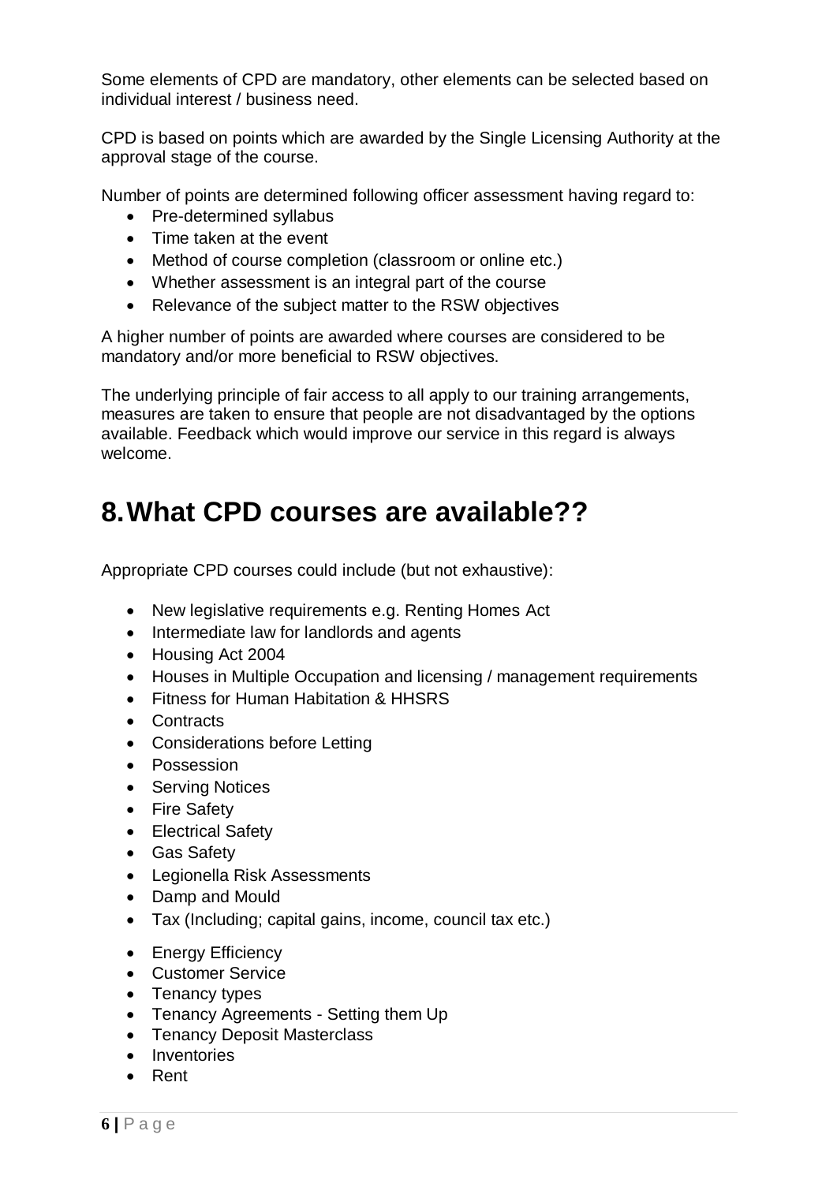Some elements of CPD are mandatory, other elements can be selected based on individual interest / business need.

CPD is based on points which are awarded by the Single Licensing Authority at the approval stage of the course.

Number of points are determined following officer assessment having regard to:

- Pre-determined syllabus
- Time taken at the event
- Method of course completion (classroom or online etc.)
- Whether assessment is an integral part of the course
- Relevance of the subject matter to the RSW objectives

A higher number of points are awarded where courses are considered to be mandatory and/or more beneficial to RSW objectives.

The underlying principle of fair access to all apply to our training arrangements, measures are taken to ensure that people are not disadvantaged by the options available. Feedback which would improve our service in this regard is always welcome.

#### **8.What CPD courses are available??**

Appropriate CPD courses could include (but not exhaustive):

- New legislative requirements e.g. Renting Homes Act
- Intermediate law for landlords and agents
- Housing Act 2004
- Houses in Multiple Occupation and licensing / management requirements
- Fitness for Human Habitation & HHSRS
- Contracts
- Considerations before Letting
- Possession
- Serving Notices
- Fire Safety
- Electrical Safety
- Gas Safety
- Legionella Risk Assessments
- Damp and Mould
- Tax (Including; capital gains, income, council tax etc.)
- Energy Efficiency
- Customer Service
- Tenancy types
- Tenancy Agreements Setting them Up
- Tenancy Deposit Masterclass
- Inventories
- Rent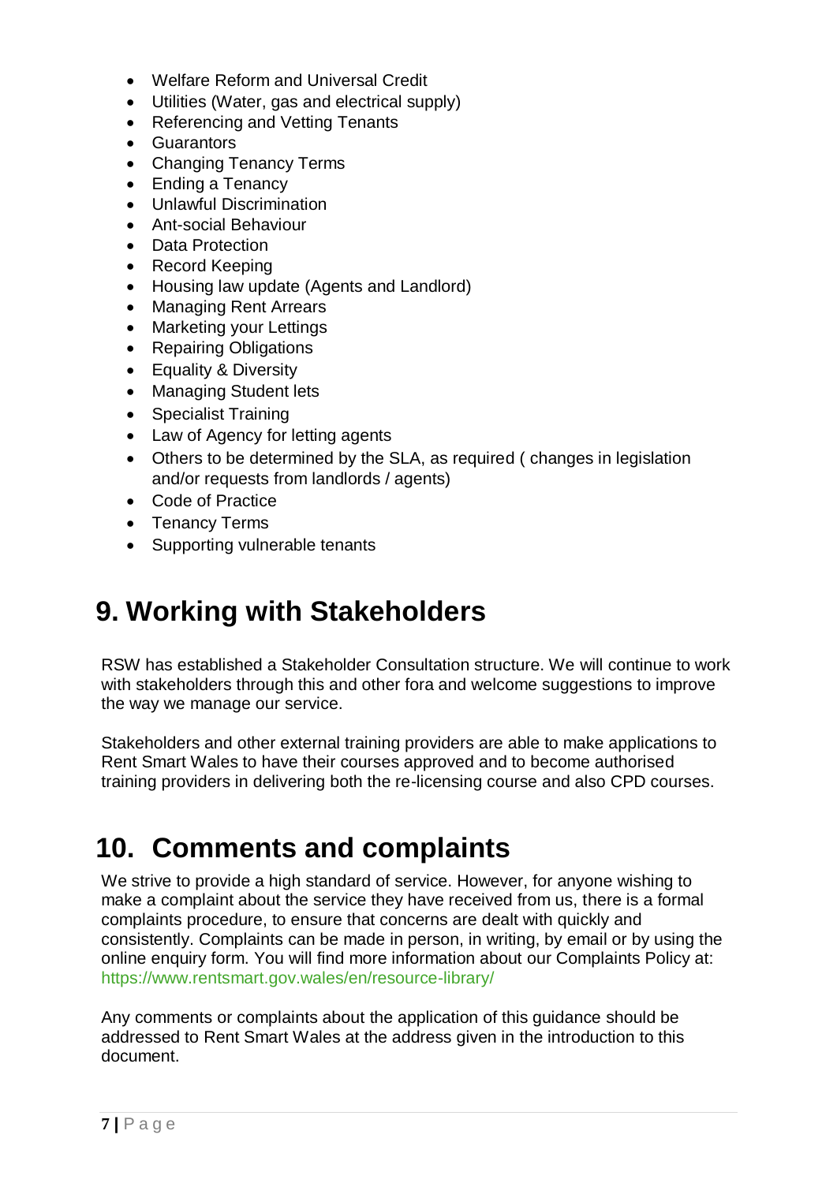- Welfare Reform and Universal Credit
- Utilities (Water, gas and electrical supply)
- Referencing and Vetting Tenants
- Guarantors
- Changing Tenancy Terms
- Ending a Tenancy
- Unlawful Discrimination
- Ant-social Behaviour
- Data Protection
- Record Keeping
- Housing law update (Agents and Landlord)
- Managing Rent Arrears
- Marketing your Lettings
- Repairing Obligations
- Equality & Diversity
- Managing Student lets
- Specialist Training
- Law of Agency for letting agents
- Others to be determined by the SLA, as required ( changes in legislation and/or requests from landlords / agents)
- Code of Practice
- Tenancy Terms
- Supporting vulnerable tenants

### **9. Working with Stakeholders**

RSW has established a Stakeholder Consultation structure. We will continue to work with stakeholders through this and other fora and welcome suggestions to improve the way we manage our service.

Stakeholders and other external training providers are able to make applications to Rent Smart Wales to have their courses approved and to become authorised training providers in delivering both the re-licensing course and also CPD courses.

#### **10. Comments and complaints**

We strive to provide a high standard of service. However, for anyone wishing to make a complaint about the service they have received from us, there is a formal complaints procedure, to ensure that concerns are dealt with quickly and consistently. Complaints can be made in person, in writing, by email or by using the online enquiry form. You will find more information about our Complaints Policy at: <https://www.rentsmart.gov.wales/en/resource-library/>

Any comments or complaints about the application of this guidance should be addressed to Rent Smart Wales at the address given in the introduction to this document.